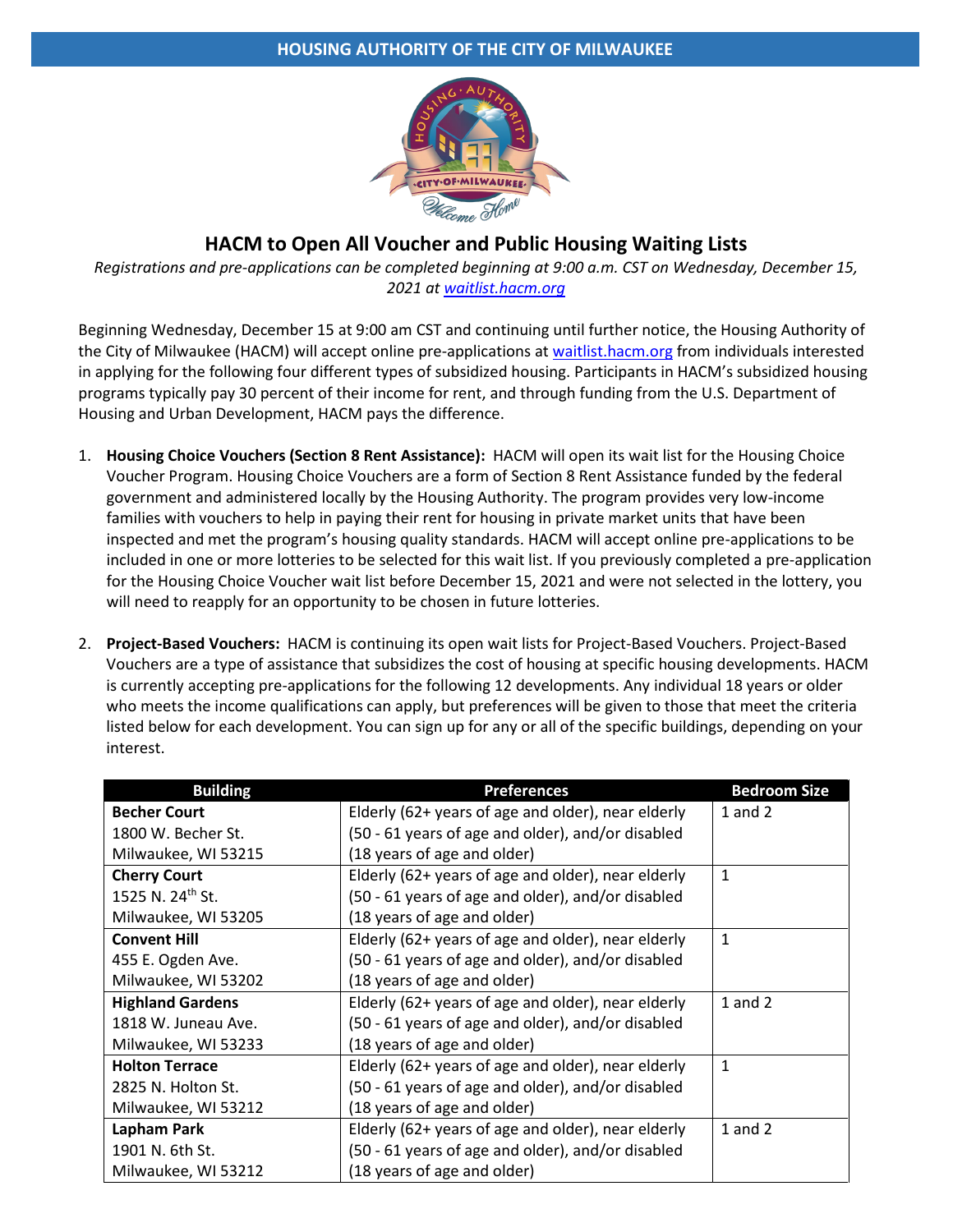

# **HACM to Open All Voucher and Public Housing Waiting Lists**

*Registrations and pre-applications can be completed beginning at 9:00 a.m. CST on Wednesday, December 15, 2021 at waitlist.hacm.org*

Beginning Wednesday, December 15 at 9:00 am CST and continuing until further notice, the Housing Authority of the City of Milwaukee (HACM) will accept online pre-applications at waitlist.hacm.org from individuals interested in applying for the following four different types of subsidized housing. Participants in HACM's subsidized housing programs typically pay 30 percent of their income for rent, and through funding from the U.S. Department of Housing and Urban Development, HACM pays the difference.

- 1. **Housing Choice Vouchers (Section 8 Rent Assistance):** HACM will open its wait list for the Housing Choice Voucher Program. Housing Choice Vouchers are a form of Section 8 Rent Assistance funded by the federal government and administered locally by the Housing Authority. The program provides very low-income families with vouchers to help in paying their rent for housing in private market units that have been inspected and met the program's housing quality standards. HACM will accept online pre-applications to be included in one or more lotteries to be selected for this wait list. If you previously completed a pre-application for the Housing Choice Voucher wait list before December 15, 2021 and were not selected in the lottery, you will need to reapply for an opportunity to be chosen in future lotteries.
- 2. **Project-Based Vouchers:** HACM is continuing its open wait lists for Project-Based Vouchers. Project-Based Vouchers are a type of assistance that subsidizes the cost of housing at specific housing developments. HACM is currently accepting pre-applications for the following 12 developments. Any individual 18 years or older who meets the income qualifications can apply, but preferences will be given to those that meet the criteria listed below for each development. You can sign up for any or all of the specific buildings, depending on your interest.

| <b>Building</b>              | <b>Bedroom Size</b>                                |              |
|------------------------------|----------------------------------------------------|--------------|
| <b>Becher Court</b>          | Elderly (62+ years of age and older), near elderly | $1$ and $2$  |
| 1800 W. Becher St.           | (50 - 61 years of age and older), and/or disabled  |              |
| Milwaukee, WI 53215          | (18 years of age and older)                        |              |
| <b>Cherry Court</b>          | Elderly (62+ years of age and older), near elderly | $\mathbf{1}$ |
| 1525 N. 24 <sup>th</sup> St. | (50 - 61 years of age and older), and/or disabled  |              |
| Milwaukee, WI 53205          | (18 years of age and older)                        |              |
| <b>Convent Hill</b>          | Elderly (62+ years of age and older), near elderly | $\mathbf{1}$ |
| 455 E. Ogden Ave.            | (50 - 61 years of age and older), and/or disabled  |              |
| Milwaukee, WI 53202          | (18 years of age and older)                        |              |
| <b>Highland Gardens</b>      | Elderly (62+ years of age and older), near elderly | $1$ and $2$  |
| 1818 W. Juneau Ave.          | (50 - 61 years of age and older), and/or disabled  |              |
| Milwaukee, WI 53233          | (18 years of age and older)                        |              |
| <b>Holton Terrace</b>        | Elderly (62+ years of age and older), near elderly | $\mathbf{1}$ |
| 2825 N. Holton St.           | (50 - 61 years of age and older), and/or disabled  |              |
| Milwaukee, WI 53212          | (18 years of age and older)                        |              |
| Lapham Park                  | Elderly (62+ years of age and older), near elderly | $1$ and $2$  |
| 1901 N. 6th St.              | (50 - 61 years of age and older), and/or disabled  |              |
| Milwaukee, WI 53212          | (18 years of age and older)                        |              |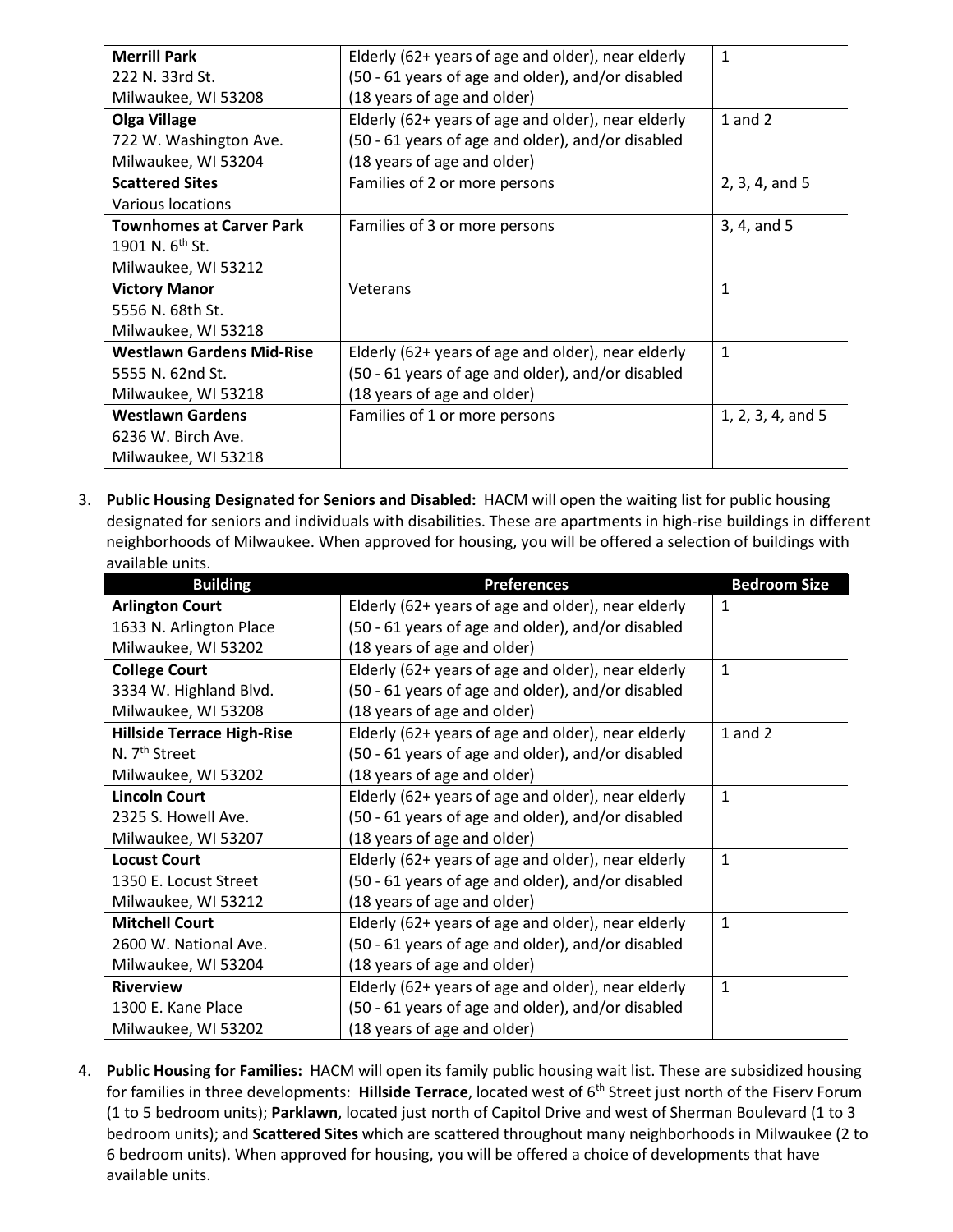| Elderly (62+ years of age and older), near elderly | $\mathbf{1}$      |
|----------------------------------------------------|-------------------|
| (50 - 61 years of age and older), and/or disabled  |                   |
| (18 years of age and older)                        |                   |
| Elderly (62+ years of age and older), near elderly | 1 and $2$         |
| (50 - 61 years of age and older), and/or disabled  |                   |
| (18 years of age and older)                        |                   |
| Families of 2 or more persons                      | 2, 3, 4, and 5    |
|                                                    |                   |
| Families of 3 or more persons                      | 3, 4, and 5       |
|                                                    |                   |
|                                                    |                   |
| Veterans                                           | $\mathbf{1}$      |
|                                                    |                   |
|                                                    |                   |
| Elderly (62+ years of age and older), near elderly | $\mathbf{1}$      |
| (50 - 61 years of age and older), and/or disabled  |                   |
| (18 years of age and older)                        |                   |
| Families of 1 or more persons                      | 1, 2, 3, 4, and 5 |
|                                                    |                   |
|                                                    |                   |
|                                                    |                   |

3. **Public Housing Designated for Seniors and Disabled:** HACM will open the waiting list for public housing designated for seniors and individuals with disabilities. These are apartments in high-rise buildings in different neighborhoods of Milwaukee. When approved for housing, you will be offered a selection of buildings with available units.

| <b>Building</b>                   | <b>Preferences</b>                                 | <b>Bedroom Size</b> |
|-----------------------------------|----------------------------------------------------|---------------------|
| <b>Arlington Court</b>            | Elderly (62+ years of age and older), near elderly | 1                   |
| 1633 N. Arlington Place           | (50 - 61 years of age and older), and/or disabled  |                     |
| Milwaukee, WI 53202               | (18 years of age and older)                        |                     |
| <b>College Court</b>              | Elderly (62+ years of age and older), near elderly | $\mathbf{1}$        |
| 3334 W. Highland Blvd.            | (50 - 61 years of age and older), and/or disabled  |                     |
| Milwaukee, WI 53208               | (18 years of age and older)                        |                     |
| <b>Hillside Terrace High-Rise</b> | Elderly (62+ years of age and older), near elderly | $1$ and $2$         |
| N. 7 <sup>th</sup> Street         | (50 - 61 years of age and older), and/or disabled  |                     |
| Milwaukee, WI 53202               | (18 years of age and older)                        |                     |
| <b>Lincoln Court</b>              | Elderly (62+ years of age and older), near elderly | $\mathbf{1}$        |
| 2325 S. Howell Ave.               | (50 - 61 years of age and older), and/or disabled  |                     |
| Milwaukee, WI 53207               | (18 years of age and older)                        |                     |
| <b>Locust Court</b>               | Elderly (62+ years of age and older), near elderly | $\mathbf{1}$        |
| 1350 E. Locust Street             | (50 - 61 years of age and older), and/or disabled  |                     |
| Milwaukee, WI 53212               | (18 years of age and older)                        |                     |
| <b>Mitchell Court</b>             | Elderly (62+ years of age and older), near elderly | $\mathbf{1}$        |
| 2600 W. National Ave.             | (50 - 61 years of age and older), and/or disabled  |                     |
| Milwaukee, WI 53204               | (18 years of age and older)                        |                     |
| <b>Riverview</b>                  | Elderly (62+ years of age and older), near elderly | 1                   |
| 1300 E. Kane Place                | (50 - 61 years of age and older), and/or disabled  |                     |
| Milwaukee, WI 53202               | (18 years of age and older)                        |                     |

4. **Public Housing for Families:** HACM will open its family public housing wait list. These are subsidized housing for families in three developments: Hillside Terrace, located west of 6<sup>th</sup> Street just north of the Fiserv Forum (1 to 5 bedroom units); **Parklawn**, located just north of Capitol Drive and west of Sherman Boulevard (1 to 3 bedroom units); and **Scattered Sites** which are scattered throughout many neighborhoods in Milwaukee (2 to 6 bedroom units). When approved for housing, you will be offered a choice of developments that have available units.